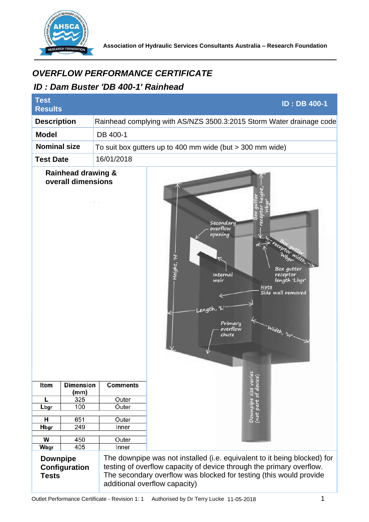

## *ID : Dam Buster 'DB 400-1' Rainhead*

| <i><b>OVERFLOW PERFORMANCE CERTIFICATE</b></i><br>ID: Dam Buster 'DB 400-1' Rainhead |                          |                 |                                                                                                                                                                                                                                                                |
|--------------------------------------------------------------------------------------|--------------------------|-----------------|----------------------------------------------------------------------------------------------------------------------------------------------------------------------------------------------------------------------------------------------------------------|
| <b>Test</b><br><b>Results</b>                                                        |                          |                 | <b>ID: DB 400-1</b>                                                                                                                                                                                                                                            |
| <b>Description</b>                                                                   |                          |                 | Rainhead complying with AS/NZS 3500.3:2015 Storm Water drainage code                                                                                                                                                                                           |
| <b>Model</b>                                                                         |                          | DB 400-1        |                                                                                                                                                                                                                                                                |
| <b>Nominal size</b>                                                                  |                          |                 | To suit box gutters up to 400 mm wide (but $>$ 300 mm wide)                                                                                                                                                                                                    |
| 16/01/2018<br><b>Test Date</b>                                                       |                          |                 |                                                                                                                                                                                                                                                                |
| <b>Rainhead drawing &amp;</b><br>overall dimensions                                  |                          | <b>Comments</b> | Secondary<br>overflow<br>opening<br>Height, 'H<br>Box gutter<br>Internal<br>receptor<br>length 'Lbgr<br>weir<br><b>Note</b><br>Side wall removed<br>Length,<br>Primary<br>Width, 'WI<br>overflow<br>chute<br>ν<br>Downpipe size varies<br>(not part of device) |
| Item                                                                                 | <b>Dimension</b><br>(mm) |                 |                                                                                                                                                                                                                                                                |
| L                                                                                    | 325                      | Outer           |                                                                                                                                                                                                                                                                |
| Lbgr                                                                                 | 100                      | Outer           |                                                                                                                                                                                                                                                                |
| н                                                                                    | 651                      | Outer           |                                                                                                                                                                                                                                                                |
| Hbgr                                                                                 | 249                      | Inner           |                                                                                                                                                                                                                                                                |
| W                                                                                    | 450                      | Outer           |                                                                                                                                                                                                                                                                |
| Wbgr                                                                                 | 405                      | Inner           |                                                                                                                                                                                                                                                                |
| <b>Downpipe</b><br>Configuration<br><b>Tests</b>                                     |                          |                 | The downpipe was not installed (i.e. equivalent to it being blocked) for<br>testing of overflow capacity of device through the primary overflow.<br>The secondary overflow was blocked for testing (this would provide<br>additional overflow capacity)        |